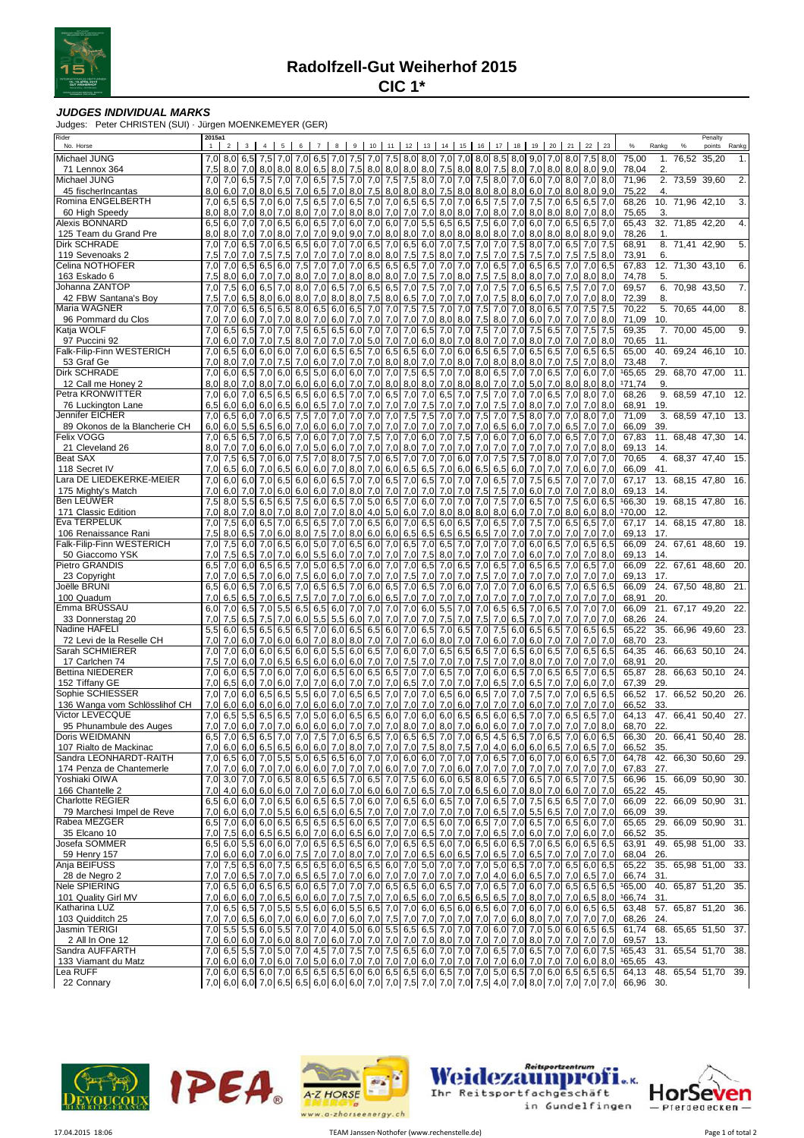

## **JUDGES INDIVIDUAL MARKS**

Judges: Peter CHRISTEN (SUI) · Jürgen MOENKEMEYER (GER)

| Rider<br>No. Horse                                | 2015a1<br>$\mathbf{1}$ | $\overline{2}$        | 3 <sup>1</sup> | $\overline{4}$ | 5          | 6                | $\overline{7}$ |                         | 9          | 10            | 11                                                                                                                                                                                                                                                                                                                                                                                                                                                                                         | 12               | 13         | 14          | 15         | 16          | 17                      | 18               | 19         | 20         | 21                      | 22         | 23                | $\%$                  | Rankg           | %               | Penalty<br>points   | Rankg |
|---------------------------------------------------|------------------------|-----------------------|----------------|----------------|------------|------------------|----------------|-------------------------|------------|---------------|--------------------------------------------------------------------------------------------------------------------------------------------------------------------------------------------------------------------------------------------------------------------------------------------------------------------------------------------------------------------------------------------------------------------------------------------------------------------------------------------|------------------|------------|-------------|------------|-------------|-------------------------|------------------|------------|------------|-------------------------|------------|-------------------|-----------------------|-----------------|-----------------|---------------------|-------|
| Michael JUNG                                      |                        | $7,0$ 8.0             |                | 6.5 7.5 7.0    |            | 7.0 <sub>l</sub> | 6,5            |                         |            |               | 7,0 7,5 7,0 7,5 8,0 8,0 7,0 7,0                                                                                                                                                                                                                                                                                                                                                                                                                                                            |                  |            |             |            |             | $8.0$ $8.5$ $8.0$ $9.0$ |                  |            | 7.0        |                         | 8.0 7.5    | 8,0               | 75,00                 |                 | 1. 76,52 35,20  |                     | 1.    |
| 71 Lennox 364                                     | 7,5                    |                       | $8.0$ 7.0      | 8,0            | 8,0        | 8,0              | 6,5            | 8,0                     |            |               | 7,5 8,0 8,0 8.0                                                                                                                                                                                                                                                                                                                                                                                                                                                                            |                  | 8,0        | 7,5         |            | $8,0$ $8,0$ |                         | 7,5 8,0 7,0      |            | 8,0        |                         |            | $8.0$ $8.0$ $9.0$ | 78,04                 | 2.              |                 |                     |       |
| Michael JUNG                                      | 7,0                    |                       | $7,0$ 6.5      | 7,5            | 7,0        | 7,0              | 6,5            | 7,5                     | 7,0        | 7,0           | 7,5                                                                                                                                                                                                                                                                                                                                                                                                                                                                                        | 7,5              | 8,0        | 7,0 7,0     |            |             | 7.5 8.0                 |                  | $7,0$ 6,0  | 7,0        | 8,0                     | 7,0        | 8,0               | 71,96                 |                 | 2. 73.59 39.60  |                     | 2.    |
| 45 fischerIncantas                                | 8,0                    | 6,0                   | 7,0            | 8,0            | 6,5        | 7,0              | 6,5            | 7,0                     |            | $8,0$ 7,5     | 8,0                                                                                                                                                                                                                                                                                                                                                                                                                                                                                        | 8,0              | 8,0        | 7,5         | 8,0        |             | $8,0$ $8,0$ $8,0$       |                  | 6,0        | 7,0        | 8,0                     | 8,0        | 9,0               | 75,22                 | 4.              |                 |                     |       |
| Romina ENGELBERTH                                 | 7,0                    | 6,5                   | 6,5            | 7,0            | 6,0        | 7,5              | 6,5            | 7,0                     | 6,5        | 7,0           | 7,0                                                                                                                                                                                                                                                                                                                                                                                                                                                                                        | 6,5              | 6,5        | 7,0         | 7,0        | 6,5         | 7,5                     | 7,0              | 7,5        | 7,0        |                         | $6,5$ 6,5  | 7,0               | 68,26                 |                 | 10. 71.96 42.10 |                     | 3.    |
| 60 High Speedy<br>Alexis BONNARD                  | 8.0<br>6,5             | 8,0<br>6,0            | 7,0<br>7,0     | 8.0<br>7,0     | 7,0<br>6,5 | 8,0<br>6,0       | 7,0<br>6,5     | 7.0<br>7,0              | 8,0<br>6,0 | 8,0<br>7,0    | 7,0                                                                                                                                                                                                                                                                                                                                                                                                                                                                                        | 7,0<br>$6,0$ 7,0 | 7,0<br>5,5 | 8,0<br>6,5  | 8,0<br>6,5 | 7,0<br>7,5  | 8,0<br>6,0              | 7,0<br>7,0       | 8,0<br>6,0 | 8,0<br>7,0 | 8,0<br>6,5              | 7,0<br>6,5 | 8,0<br>7,0        | 75,65<br>65,43        | 3.              | 32. 71.85 42.20 |                     | 4.    |
| 125 Team du Grand Pre                             | 8.0                    | 8,0                   | 7.0            | 7,0            | 8,0        | 7.0              | 7.0            | 9,0                     | 9,0        | 7,0           |                                                                                                                                                                                                                                                                                                                                                                                                                                                                                            | 8,0 8,0          | 7,0        | $8,0$ $8,0$ |            | 8,0         | 8,0                     | 7,0              | 8,0        | 8,0        | 8,0                     | 8,0        | 9,0               | 78,26                 | 1.              |                 |                     |       |
| Dirk SCHRADE                                      | 7,0                    | 7,0                   | 6,5            | 7,0            | 6,5        | 6,5              | 6,0            | 7,0                     | 7,0        | 6,5           | 7,0                                                                                                                                                                                                                                                                                                                                                                                                                                                                                        | 6,5              | 6,0        | 7,0         | 7,5        | 7,0         | 7,0                     | 7,5              | 8,0        | 7,0        | 6,5                     | 7,0        | 7,5               | 68,91                 |                 | 8. 71,41 42,90  |                     | 5.    |
| 119 Sevenoaks 2                                   | 7,5                    | 7,0                   | 7,0            | 7,5            | 7,5        | 7,0              | 7,0            | 7,0                     | 7,0        | 8,0           |                                                                                                                                                                                                                                                                                                                                                                                                                                                                                            | $8,0$ 7.5        | 7,5        | 8,0         | 7,0        | 7,5         | 7,0                     | 7,5              | 7,5        | 7,0        | 7,5                     | 7,5        | 8,0               | 73,91                 | 6.              |                 |                     |       |
| Celina NOTHOFER                                   | 7.0                    | 7,0                   | 6,5            | 6,5            | 6,0        | 7,5              | 7,0            | 7,0                     | 7,0        | 6,5           |                                                                                                                                                                                                                                                                                                                                                                                                                                                                                            | $6,5$ 6,5        | 7,0        | 7,0         | 7.0        | 7,0         | 6,5                     | 7,0              | 6,5        | 6,5        | 7,0                     | 7,0        | 6,5               | 67,83                 |                 | 12. 71,30 43,10 |                     | 6.    |
| 163 Eskado 6                                      | 7,5                    | 8,0                   | 6,0            | 7,0            | 7,0        | 8,0              | 7,0            | 7,0                     | 8,0        | 8,0           | 8,0                                                                                                                                                                                                                                                                                                                                                                                                                                                                                        | 7,0              | 7,5        | 7,0         | 8,0        | 7,5         | 7,5                     | 8,0              | 8,0        | 7,0        | 7,0                     | 8,0        | 8,0               | 74,78                 | 5.              |                 |                     |       |
| Johanna ZANTOP<br>42 FBW Santana's Boy            | 7,0<br>7.5             | 7,5<br>7,0            | 6,0<br>6,5     | 6,5<br>8,0     | 7,0<br>6,0 | 8,0<br>8,0       | 7,0<br>7,0     | 6,5<br>8,0              | 7,0<br>8,0 | 6,5<br>7,5    | 8,0                                                                                                                                                                                                                                                                                                                                                                                                                                                                                        | $6,5$ 7,0<br>6,5 | 7,5<br>7,0 | 7,0<br>7.0  | 7,0<br>7.0 | 7,0<br>7.0  | 7,5<br>7,5              | 7,0<br>8,0       | 6,5<br>6,0 | 6,5<br>7,0 | 7,5<br>7,0              | 7,0<br>7,0 | 7,0<br>8,0        | 69,57<br>72,39        | 8.              | 6. 70,98 43,50  |                     | 7.    |
| Maria WAGNER                                      | 7,0                    | 7,0                   | 6,5            | 6,5            | 6,5        | 8,0              | 6,5            | 6,0                     | 6,5        | 7,0           | 7,0                                                                                                                                                                                                                                                                                                                                                                                                                                                                                        | 7,5              | 7,5        | 7,0         | 7,0        | 7,5         | 7,0                     | 7,0              | 8,0        | 6,5        | 7,0                     | 7,5        | 7,5               | 70,22                 | 5.              | 70,65 44,00     |                     | 8.    |
| 96 Pommard du Clos                                | 7,0                    | 7,0                   | 6,0            | 7,0            | 7,0        | 8,0              | 7,0            | 6,0                     | 7,0        | 7,0           | 7,0                                                                                                                                                                                                                                                                                                                                                                                                                                                                                        | 7,0              | 7,0        | 8,0         | 8,0        | 7,5         | 8,0                     | 7,0              | 6,0        | 7,0        | 7,0                     | 7,0        | 8,0               | 71,09                 | 10              |                 |                     |       |
| Katja WOLF                                        | 7,0                    | 6,5                   | 6,5            | 7,0            | 7,0        | 7,5              | 6,5            |                         |            | $6,5$ 6,0 7,0 | 7,0                                                                                                                                                                                                                                                                                                                                                                                                                                                                                        | 7,0              | 6,5        | 7,0         | 7,0        | 7,5         | 7,0                     | 7,0              | 7,5        | 6,5        | 7,0                     | 7,5        | 7,5               | 69,35                 |                 | 7. 70,00 45,00  |                     | 9.    |
| 97 Puccini 92                                     | 7.0                    | 6,0                   | 7,0            | 7,0            | 7,5        | 8,0              | 7,0            | 7,0                     | 7,0        | 5,0           | 7,0                                                                                                                                                                                                                                                                                                                                                                                                                                                                                        | 7.0              | 6,0        | 8,0         | 7,0        | 8,0         | 7,0                     | 7,0              | 8,0        | 7,0        | 7,0                     | 7,0        | 8,0               | 70,65                 | 11.             |                 |                     |       |
| Falk-Filip-Finn WESTERICH                         | 7,0                    | 6,5                   | 6,0            | 6,0            | 6,0        | 7,0              | 6,0            | 6,5                     | 6,5        | 7,0           | 6,5                                                                                                                                                                                                                                                                                                                                                                                                                                                                                        | 6,5              | 6,0        | 7,0         | 6,0        | 6,5         | 6,5                     | 7,0              | 6,5        | 6,5        | 7,0                     | 6,5        | 6,5               | 65,00                 |                 |                 | 40. 69,24 46,10     | -10.  |
| 53 Graf Ge<br>Dirk SCHRADE                        | 7,0<br>7.0             | 8,0<br>6,0            | 7,0<br>6,5     | 7,0<br>7,0     | 7,5<br>6,0 | 7,0<br>6,5       | 6,0<br>5,0     | 7,0<br>6,0              | 7,0<br>6,0 | 7,0<br>7,0    | 8,0                                                                                                                                                                                                                                                                                                                                                                                                                                                                                        | 8,0<br>$7,0$ 7.5 | 7,0<br>6,5 | 7,0<br>7,0  | 8,0<br>7,0 | 7,0         | 8,0<br>8,0 6,5          | 8,0<br>$7,0$ 7.0 | 8,0        | 7,0<br>6,5 | 7,5<br>7,0              | 7,0<br>6,0 | 8,0<br>7,0        | 73,48<br>165,65       | 7.<br>29.       |                 | 68,70 47,00         | 11.   |
| 12 Call me Honey 2                                | 8,0                    | 8,0                   | 7,0            | 8,0            | 7,0        | 6,0              | 6,0            | 6,0                     | 7,0        | 7,0           | 8,0                                                                                                                                                                                                                                                                                                                                                                                                                                                                                        | 8,0              | 8,0        | 7,0         | 8,0        | 8,0         | 7,0                     | $7,0$ 5.0        |            | 7,0        | 8,0                     | 8,0        | 8,0               | 171,74                | 9.              |                 |                     |       |
| Petra KRONWITTER                                  | 7,0                    | 6,0                   | 7,0            | 6,5            | 6,5        |                  | $6,5$ 6,0      |                         | $6,5$ 7,0  | 7,0           |                                                                                                                                                                                                                                                                                                                                                                                                                                                                                            | $6,5$ 7,0        | 7,0        | 6,5         | 7,0        | 7,5         | 7,0                     | 7,0              | 7,0        | 6,5        |                         | $7,0$ 8,0  | 7,0               | 68,26                 |                 |                 | 9. 68,59 47,10 12.  |       |
| 76 Luckington Lane                                | 6.5                    | 6,0                   | 6,0            | 6,0            | 6,5        | 6,0              | 6,5            | 7,0                     | 7,0        | 7,0           | 7,0                                                                                                                                                                                                                                                                                                                                                                                                                                                                                        | 7,0              | 7,5        | 7.0         | 7,0        | 7,0         | 7,5                     | 7,0              | 8,0        | 7,0        | 7.0                     | 7.0        | 8,0               | 68,91                 | 19.             |                 |                     |       |
| Jennifer EICHER                                   | 7,0                    |                       | $6,5$ 6.0      | 7,0            | 6,5        | 7,5              | 7,0            | 7,0                     | 7,0        | 7,0           | 7,0                                                                                                                                                                                                                                                                                                                                                                                                                                                                                        | 7,5              | 7,5        | 7,0         | 7,0        | 7,5         | 7,0                     | 7,5              | 8,0        | 7,0        | 7,0                     | 8,0        | 7,0               | 71,09                 | 3.              | 68.59 47.10     |                     | -13.  |
| 89 Okonos de la Blancherie CH                     | 6,0                    | 6,0                   | 5,5            | 6,5            | 6,0        | 7,0              | 6,0            | 6,0                     | 7,0        | 7,0           | 7,0                                                                                                                                                                                                                                                                                                                                                                                                                                                                                        | 7.0              | 7,0        | 7,0         | 7,0        | 7,0         | 6,5                     | 6,0              | 7,0        | 7,0        | 6,5                     | 7,0        | 7,0               | 66,09                 | 39              |                 |                     |       |
| Felix VOGG                                        | 7,0                    | 6,5                   | 6,5            | 7,0            | 6,5        | 7,0              | 6,0            | 7,0                     | 7,0        | 7,5           | 7,0                                                                                                                                                                                                                                                                                                                                                                                                                                                                                        | 7,0              | 6,0        | 7,0         | 7,5        | 7,0         | 6,0                     | 7,0              | 6,0        | 7,0        | 6,5                     | 7,0        | 7,0               | 67,83                 |                 |                 | 11. 68,48 47,30 14. |       |
| 21 Cleveland 26                                   | 8.0                    | 7,0                   | 7.0            | 6,0            | 6,0        | 7.0              | 5,0            | 6,0                     | 7,0        | 7,0           | 7,0                                                                                                                                                                                                                                                                                                                                                                                                                                                                                        | 8.0              | 7.0        | 7.0         | 7.0        | 7.0         | 7,0                     | 7,0              | 7,0        | 7.0        | 7.0                     | 7,0        | 8,0               | 69,13                 | 14.             |                 |                     |       |
| <b>Beat SAX</b><br>118 Secret IV                  | 7,0<br>7,0             | 7,5<br>6,5            | 6,5<br>6,0     | 7.0<br>7,0     | 6,0<br>6,5 | 7,5<br>6,0       | 7,0<br>6,0     | 8,0<br>7.0              | 7,5<br>8,0 | 7,0<br>7,0    | 6,5<br>6,0                                                                                                                                                                                                                                                                                                                                                                                                                                                                                 | 7,0<br>6,5       | 7,0<br>6,5 | 7,0<br>7,0  | 6,0<br>6,0 | 7,0<br>6,5  | 7,5<br>6,5              | 7,5<br>$6,0$ 7.0 | 7,0        | 8,0<br>7,0 | 7,0<br>7,0              | 7,0<br>6,0 | 7,0<br>7,0        | 70,65<br>66,09        | 41.             | 4. 68,37 47,40  |                     | 15.   |
| Lara DE LIEDEKERKE-MEIER                          | 7,0                    | 6,0                   | 6,0            | 7,0            | 6,5        | 6,0              | 6,0            | 6,5                     | 7,0        | 7,0           | 6,5                                                                                                                                                                                                                                                                                                                                                                                                                                                                                        | 7,0              | 6,5        | 7,0         | 7,0        |             | $7,0$ 6.5               | 7,0              | 7,5        | 6,5        | 7,0                     | 7,0        | 7,0               | 67,17                 |                 | 13. 68,15 47,80 |                     | 16.   |
| 175 Mighty's Match                                | 7,0                    | 6,0                   | 7,0            | 7,0            | 6,0        | 6,0              | 6,0            | 7,0                     | 8,0        | 7,0           | 7,0                                                                                                                                                                                                                                                                                                                                                                                                                                                                                        | 7.0              | 7,0        | 7,0         | 7,0        | 7,5         | 7,5                     | 7,0              | 6,0        | 7,0        | 7,0                     | 7,0        | 8,0               | 69,13                 | 14.             |                 |                     |       |
| <b>Ben LEUWER</b>                                 | 7,5                    |                       | $8,0$ 5,5      | 6,5            | 6,5        | 7,5              |                | 6,0 6,5                 | 7,0        | 5,0           | 6,5                                                                                                                                                                                                                                                                                                                                                                                                                                                                                        | 7,0              | 6,0        | 7,0         | 7.0        | 7,0         | 7,5                     | 7,0              | 6,5        | 7,0        | 7,5                     | 6,0        | 6,5               | 166,30                |                 |                 | 19. 68,15 47,80     | 16.   |
| 171 Classic Edition                               | 7.0                    | 8,0                   | 7,0            | 8,0            | 7,0        | 8,0              | 7,0            | 7,0                     | 8,0        | 4,0           | 5,0                                                                                                                                                                                                                                                                                                                                                                                                                                                                                        | 6,0              | 7,0        | 8,0         | 8,0        | 8,0         | 8,0                     | 6,0              | 7,0        | 7,0        | 8,0                     | 6,0        | 8,0               | 170.00                | 12 <sub>1</sub> |                 |                     |       |
| Eva TERPELUK                                      | 7,0                    | 7,5                   | 6,0            | 6,5            | 7,0        | 6,5              | 6,5            | 7,0                     | 7,0        | 6,5           |                                                                                                                                                                                                                                                                                                                                                                                                                                                                                            | $6.0$ 7.0        | 6,5        | 6,0         | 6,5        | 7,0         | 6,5                     |                  | 7,0 7,5    | 7,0        | 6,5                     | 6,5        | 7,0               | 67,17                 |                 | 14. 68,15 47,80 |                     | 18.   |
| 106 Renaissance Rani<br>Falk-Filip-Finn WESTERICH | 7.5<br>7,0             | 8,0<br>7,5            | 6.5<br>6,0     | 7.0<br>7,0     | 6,0<br>6,5 | 8,0<br>6,0       | 7,5<br>5,0     | 7.0 <sub>l</sub><br>7,0 | 8,0<br>6,5 | 6,0<br>6,0    | 6,0<br>7,0                                                                                                                                                                                                                                                                                                                                                                                                                                                                                 | 6,5<br>6,5       | 6,5<br>7,0 | 6,5<br>6,5  | 6,5<br>7,0 | 6,5<br>7,0  | 7,0<br>7,0              | 7,0<br>7,0       | 7.0<br>6,0 | 7,0<br>6,5 | 7.0 <sub>l</sub><br>7,0 | 7.0<br>6,5 | 7,0<br>6,5        | 69,13<br>66,09        | 17.             | 24. 67,61 48,60 |                     | 19.   |
| 50 Giaccomo YSK                                   | 7,0                    | 7,5                   | 6,5            | 7,0            | 7,0        | 6,0              | 5,5            | 6,0                     | 7,0        | 7,0           | 7,0                                                                                                                                                                                                                                                                                                                                                                                                                                                                                        | 7,0              | 7,5        | 8,0         | 7,0        | 7,0         | 7,0                     | 7,0              | 6.0        | 7,0        | 7,0                     | 7,0        | 8,0               | 69,13                 | 14.             |                 |                     |       |
| Pietro GRANDIS                                    | 6,5                    | 7,0                   | 6,0            | 6,5            | 6,5        | 7,0              | 5,0            | 6,5                     | 7,0        | 6,0           | 7,0                                                                                                                                                                                                                                                                                                                                                                                                                                                                                        | 7,0              | 6,5        | 7,0         | 6,5        | 7,0         | 6,5                     | 7,0              | 6,5        | 6,5        | 7,0                     | 6,5        | 7.0               | 66,09                 |                 |                 | 22. 67,61 48,60 20. |       |
| 23 Copyright                                      | 7.0                    | 7,0                   | 6,5            | 7,0            | 6,0        | 7,5              | 6,0            | 6,0                     | 7,0        | 7,0           | 7,0                                                                                                                                                                                                                                                                                                                                                                                                                                                                                        | 7,5              | 7,0        | 7,0         | 7,0        | 7,5         | 7,0                     | 7,0              | 7,0        | 7,0        | 7,0                     | 7,0        | 7,0               | 69,13                 | 17.             |                 |                     |       |
| Joëlle BRUNI                                      | 6,5                    | 6,0                   | 6,5            | 7,0            | 6,5        | 7,0              | 6,5            | 6,5                     | 7,0        |               | $6,0$ 6,5 7,0                                                                                                                                                                                                                                                                                                                                                                                                                                                                              |                  | 6,5        | 7,0         | 6,0        | 7,0         | 7,0                     | 7,0              | 6,0        | 6,5        | 7,0                     | 6,5        | 6,5               | 66,09                 |                 |                 | 24. 67,50 48,80     | 21.   |
| 100 Quadum                                        | 7.0                    | 6,5                   | 6,5            | 7,0            | 6,5        | 7,5              | 7,0            | 7,0                     |            | $7,0$ 6,0     | 6,5                                                                                                                                                                                                                                                                                                                                                                                                                                                                                        | 7,0              | 7,0        | 7.0         | 7,0        | 7,0         | 7,0                     | 7,0              | 7,0        | 7,0        | 7,0                     | 7.0        | 7.0               | 68,91                 | 20.             |                 |                     |       |
| Emma BRÜSSAU                                      | 6,0                    | 7,0                   | 6,5            | 7,0            | 5,5        | 6,5              | 6,5            | 6,0                     |            | $7,0$ 7,0     |                                                                                                                                                                                                                                                                                                                                                                                                                                                                                            | $7,0$ 7,0        | 6,0        | 5,5         | 7,0        | 7,0         | 6,5                     | 6,5              | 7,0        | 6,5        | 7,0                     | 7.0        | 7,0               | 66,09                 |                 | 21. 67,17 49,20 |                     | 22.   |
| 33 Donnerstag 20<br>Nadine HÄFELI                 | 7,0<br>5,5             | 7,5<br>6,0            | 6,5<br>6,5     | 7,5<br>6,5     | 7,0<br>6,5 | 6,0<br>6,5       | 5,5<br>7,0     | 5,5<br>$6,0$ 6,5        | 6,0        | 7,0<br>6,5    | 7,0                                                                                                                                                                                                                                                                                                                                                                                                                                                                                        | 7,0<br>$6,0$ 7.0 | 7,0<br>6,5 | 7,5<br>7,0  | 7,0<br>6,5 | 7,5<br>7,0  | 7,0<br>7,5              | 6,5<br>6,0       | 7,0<br>6,5 | 7,0<br>6,5 | 7,0<br>7,0              | 7,0<br>6,5 | 7,0<br>6,5        | 68,26<br>65,22        | 24.             |                 | 35. 66,96 49,60 23. |       |
| 72 Levi de la Reselle CH                          | 7,0                    | 7,0                   | 6,0            | 7,0            | 6,0        | 6,0              | 7,0            | 8,0                     | 8,0        | 7,0           | 7,0                                                                                                                                                                                                                                                                                                                                                                                                                                                                                        | 7,0              | 6,0        | 8,0         | 7,0        | 7,0         | 6,0                     | 7,0              | 6,0        | 7,0        | 7,0                     | 7,0        | 7,0               | 68,70                 | 23.             |                 |                     |       |
| Sarah SCHMIERER                                   | 7,0                    | 7,0                   | 6,0            | 6,0            | 6,5        | 6,0              | 6,0            | 5,5                     | 6,0        | 6,5           | 7,0                                                                                                                                                                                                                                                                                                                                                                                                                                                                                        | 6,0              | 7,0        | 6,5         | 6,5        | 6,5         | 7,0                     | 6,5              | 6,0        | 6,5        | 7,0                     | 6,5        | 6,5               | 64,35                 | 46.             | 66,63 50,10     |                     | 24.   |
| 17 Carlchen 74                                    | 7,5                    | 7,0                   | 6,0            | 7,0            | 6,5        | 6,5              | 6,0            | 6,0                     | 6,0        | 7,0           | 7,0                                                                                                                                                                                                                                                                                                                                                                                                                                                                                        | 7,5              | 7,0        | 7,0         | 7,0        | 7,5         | 7,0                     | 7,0              | 8,0        | 7,0        | 7,0                     | 7,0        | 7.0               | 68,91                 | 20              |                 |                     |       |
| <b>Bettina NIEDERER</b>                           | 7,0                    | 6,0                   | 6,5            | 7,0            | 6,0        | 7,0              | 6,0            | 6,5                     | 6,0        | 6,5           |                                                                                                                                                                                                                                                                                                                                                                                                                                                                                            | $6,5$ 7,0        | 7,0        | 6,5         | 7,0        | 7,0         | 6,0                     | 6,5              | 7,0        | 6,5        | 6,5                     | 7,0        | 6,5               | 65,87                 | 28.             |                 | 66,63 50,10 24.     |       |
| 152 Tiffany GE                                    | 7.0                    | 6,5                   | 6,0            | 7,0            | 6,0        | 7.0              | 7.0            | 6,0                     | 7,0        | 7,0           | 7,0                                                                                                                                                                                                                                                                                                                                                                                                                                                                                        | 6,5              | 7,0        | 7.0         | 7.0        | 7,0         | 6,5                     | 7,0              | 6,5        | 7,0        | 7,0                     | 6,0        | 7.0               | 67,39                 | 29              |                 |                     |       |
| Sophie SCHIESSER                                  | 7,0                    | 7,0                   | 6,0            | 6,5            | 6,5        | 5,5              | 6,0            | 7,0                     |            | $6,5$ 6,5     | 7,0                                                                                                                                                                                                                                                                                                                                                                                                                                                                                        | 7,0              | 7,0        | 6,5<br>7,0  | 6,0        | 6,5         | 7,0                     | 7,0              | 7,5        | 7,0        | 7,0                     | 6,5        | 6,5               | 66,52<br>66,52        |                 |                 | 17. 66,52 50,20     | 26.   |
| 136 Wanga vom Schlösslihof CH<br>Victor LEVECQUE  | 7,0                    | $7,0$ 6.0<br>6.5      | 6,0<br>5,5     | 6,0<br>6,5     | 6,0<br>6,5 | 7,0<br>7,0       | 6,0<br>5,0     | 6,0<br>6,0              | 7,0<br>6,5 | 7,0<br>6,5    | 7,0                                                                                                                                                                                                                                                                                                                                                                                                                                                                                        | 7,0<br>$6,0$ 7,0 | 7,0<br>6,0 | 6,0 6,5     | 6,0        | 7,0         | 7,0<br>$6,5$ 6,0 6,5    | 7,0              | 6,0<br>7,0 | 7,0<br>7,0 | 7,0<br>6,5              | 7,0<br>6,5 | 7,0<br>7,0        | 64,13                 | 33.<br>47.      | 66.41 50.40     |                     | 27.   |
| 95 Phunambule des Auges                           |                        | 7,0 7,0 6,0 7,0       |                |                | 7,0        |                  |                |                         |            |               | 6,0 6,0 6,0 7,0 7,0 7,0 8,0 7,0 8,0 7,0 6,0 6,0 7,0 7,0                                                                                                                                                                                                                                                                                                                                                                                                                                    |                  |            |             |            |             |                         |                  |            | 7,0        |                         | 7,0 7,0    | 8,0               | 68,70                 | 22.             |                 |                     |       |
| Doris WEIDMANN                                    |                        |                       |                |                |            |                  |                |                         |            |               | 6.5 7.0 6.5 7.0 6.5 7.0 7.0 7.0 7.5 7.0 6.5 6.5 7.0 6.5 6.5 7.0 7.0 6.5 4.5 6.5 7.0 6.5 7.0 6.0 6.0 6.5                                                                                                                                                                                                                                                                                                                                                                                    |                  |            |             |            |             |                         |                  |            |            |                         |            |                   | 66.30 20. 66.41 50.40 |                 |                 |                     | 28.   |
| 107 Rialto de Mackinac                            |                        |                       |                |                |            |                  |                |                         |            |               | 7,0 6,0 6,0 6,5 6,5 6,6 6,0 7,0 8,0 7,0 7,0 7,0 7,5 8,0 7,5 7,0 4,0 6,0 6,0 6,5 7,0 6,5 7,0                                                                                                                                                                                                                                                                                                                                                                                                |                  |            |             |            |             |                         |                  |            |            |                         |            |                   | 66,52                 | 35.             |                 |                     |       |
| Sandra LEONHARDT-RAITH                            |                        | 7,0 6,5 6,0 7,0 5,5   |                |                |            |                  |                |                         |            |               | 5,0 6,5 6,5 6,0 7,0 7,0 6,0 6,0 7,0 7,0 7,0 6,5 7,0 6,0 7,0 6,0 6,0 6,5 7,0                                                                                                                                                                                                                                                                                                                                                                                                                |                  |            |             |            |             |                         |                  |            |            |                         |            |                   | 64,78                 |                 |                 | 42. 66,30 50,60     | 29.   |
| 174 Penza de Chantemerle                          |                        |                       |                |                |            |                  |                |                         |            |               | 7,0 7,0 7,0 7,0 7,0 7,0 7,0 7,0 6,0 7,0 7,0 6,0 7,0 6,0 7,0 7,0 7,0 6,0 7,0 7,0 7,0 7,0 7,0 7,0 7,0 7,0 7,0                                                                                                                                                                                                                                                                                                                                                                                |                  |            |             |            |             |                         |                  |            |            |                         |            |                   | 67,83                 | 27.             |                 |                     |       |
| Yoshiaki OIWA<br>166 Chantelle 2                  |                        |                       |                |                |            |                  |                |                         |            |               | 7,0 3,0 7,0 6,5 7,0 6,5 8,0 6,5 6,6 7,0 6,5 7,0 7,5 6,0 6,0 6,6 8,0 6,5 7,0 6,5 7,0 6,5 7,0 6,5 7,0 7,5                                                                                                                                                                                                                                                                                                                                                                                    |                  |            |             |            |             |                         |                  |            |            |                         |            | $6,0$ 7,0 7,0     | 66,96<br>65,22        |                 |                 | 15. 66,09 50,90 30. |       |
| <b>Charlotte REGIER</b>                           |                        | 7,0 4,0 6,0 6,0 6,0   |                |                |            |                  |                |                         |            |               | 7,0 7,0 6,0 7,0 6,0 6,0 7,0 6,5 7,0 7,0 6,5 6,0 7,0 8,0 7,0<br>6,5 6,0 6,0 7,0 6,5 6,0 6,5 6,0 6,5 7,0 6,0 7,0 6,5 6,0 6,5 7,0 7,0 6,5 7,0 7,5 6,5 6,5 7,0 7,0                                                                                                                                                                                                                                                                                                                             |                  |            |             |            |             |                         |                  |            |            |                         |            |                   | 66,09                 | 45.             |                 | 22. 66,09 50,90 31. |       |
| 79 Marchesi Impel de Reve                         |                        | 7,0 6,0 6,0 7,0       |                |                | 5,5        |                  |                |                         |            |               | 6,0 6,5 6,0 6,5 7,0 7,0 7,0 7,0 7,0 7,0 7,0 7,0 6,5 7,0 5,5 6,5 7,0 7,0 7,0                                                                                                                                                                                                                                                                                                                                                                                                                |                  |            |             |            |             |                         |                  |            |            |                         |            |                   | 66,09                 | 39.             |                 |                     |       |
| Rabea MEZGER                                      |                        | $6,5$ 7,0 6,0 6,0 6,5 |                |                |            |                  |                |                         |            |               | 6,5 6,5 6,6 6,0 6,5 7,0 7,0 6,5 6,0 7,0 6,5 7,0 7,0 6,5 7,0 6,5 6,0 7,0                                                                                                                                                                                                                                                                                                                                                                                                                    |                  |            |             |            |             |                         |                  |            |            |                         |            |                   | 65,65                 |                 |                 | 29. 66,09 50,90 31. |       |
| 35 Elcano 10                                      | 7,0                    |                       |                |                |            |                  |                |                         |            |               | 7,5 6,0 6,5 6,5 6,0 7,0 6,0 6,5 6,0 7,0 7,0 6,5 7,0 7,0 7,0 6,5 7,0 6,5 7,0 6,0 7,0                                                                                                                                                                                                                                                                                                                                                                                                        |                  |            |             |            |             |                         |                  |            |            |                         |            | 7,0 6,0 7,0       | 66,52                 | 35.             |                 |                     |       |
| Josefa SOMMER                                     |                        | $6,5$ 6,0 5,5 6,0 6,0 |                |                |            |                  |                |                         |            |               | 7,0 6,5 6,5 6,5 6,5 6,0 7,0 6,5 6,5 6,0 7,0 6,5 6,0 6,5 7,0 6,5 6,0 6,5 6,0 6,5                                                                                                                                                                                                                                                                                                                                                                                                            |                  |            |             |            |             |                         |                  |            |            |                         |            |                   | 63,91                 | 49.             |                 | 65,98 51,00         | 33.   |
| 59 Henry 157                                      |                        |                       |                |                |            |                  |                |                         |            |               | 7,0 6,0 7,0 6,0 7,0 6,0 7,5 7,0 7,0 8,0 7,0 7,0 7,0 6,5 6,0 6,5 7,0 6,5 7,0 6,5 7,0 7,0 7,0 7,0 7,0                                                                                                                                                                                                                                                                                                                                                                                        |                  |            |             |            |             |                         |                  |            |            |                         |            |                   | 68,04                 | 26.             |                 |                     |       |
| Anja BEIFUSS<br>28 de Negro 2                     |                        |                       |                |                |            |                  |                |                         |            |               | 7,0 7,5 6,5 6,0 7,5 6,5 6,5 6,5 6,0 6,5 6,6 6,0 7,0 5,0 7,0 7,0 7,0 5,0 6,5 7,0 7,0 6,5 6,0 6,5<br>7,0 $\begin{bmatrix} 7,0 \\ 7,0 \end{bmatrix}$ 7,0 $\begin{bmatrix} 7,0 \\ 7,0 \end{bmatrix}$ 6,5 $\begin{bmatrix} 7,0 \\ 7,0 \end{bmatrix}$ 7,0 $\begin{bmatrix} 7,0 \\ 7,0 \end{bmatrix}$ 7,0 $\begin{bmatrix} 7,0 \\ 7,0 \end{bmatrix}$ 7,0 $\begin{bmatrix} 7,0 \\ 6,0 \end{bmatrix}$ 6,6 $\begin{bmatrix} 7,0 \\ 7,0 \end{bmatrix}$ 7,0 $\begin{bmatrix} 6,5 \\ 7,0 \end{bmatrix}$ |                  |            |             |            |             |                         |                  |            |            |                         |            |                   | 65,22<br>66,74        |                 |                 | 35. 65,98 51,00 33. |       |
| Nele SPIERING                                     |                        |                       |                |                |            |                  |                |                         |            |               | 7,0 6,5 6,0 6,5 6,6 6,6 6,6 6,6 6,6 7,0 7,0 7,0 6,5 6,6 6,0 6,5 7,0 7,0 6,5 7,0 6,6 7,0 6,6 7,0 6,5 6,5 6,5                                                                                                                                                                                                                                                                                                                                                                                |                  |            |             |            |             |                         |                  |            |            |                         |            |                   | 165,00                | 31.             |                 | 40. 65,87 51,20     | 35.   |
| 101 Quality Girl MV                               |                        |                       |                |                |            |                  |                |                         |            |               | 7,0 6,0 7,0 6,0 7,0 6,5 6,0 6,0 7,0 7,5 7,0 7,0 6,5 6,0 7,0 6,5 6,5 6,5 7,0 8,0 7,0 7,0 6,5 8,0                                                                                                                                                                                                                                                                                                                                                                                            |                  |            |             |            |             |                         |                  |            |            |                         |            |                   | 166,74                | 31.             |                 |                     |       |
| Katharina LUZ                                     |                        |                       |                |                |            |                  |                |                         |            |               | 7,0 6,5 6,5 7,0 5,5 5,6 6,0 6,0 5,5 6,5 6,5 7,0 7,0 6,0 6,5 6,0 6,5 6,0 7,0 6,0 7,0 6,0 7,0 6,0 6,5 6,5                                                                                                                                                                                                                                                                                                                                                                                    |                  |            |             |            |             |                         |                  |            |            |                         |            |                   | 63,48                 |                 |                 | 57. 65,87 51,20 36. |       |
| 103 Quidditch 25                                  |                        |                       |                |                |            |                  |                |                         |            |               | 7,0 $ 7,0 $ 6,5 6,0 7,0 6,0 6,0 7,0 6,0 7,0 7,0 7,0 7,5 7,0 7,0 7,0 7,0 7,0 7,0 6,0 8,0 7,0 7,0 7,0 7,0 7,0                                                                                                                                                                                                                                                                                                                                                                                |                  |            |             |            |             |                         |                  |            |            |                         |            |                   | 68,26                 | 24.             |                 |                     |       |
| Jasmin TERIGI                                     |                        |                       |                |                |            |                  |                |                         |            |               | 7,0 5,5 5,5 6,0 5,5 6,0 5,5 7,0 7,0 4,0 5,0 6,0 5,5 6,5 6,5 7,0 7,0 7,0 6,0 7,0 7,0 7,0 5,0 6,0 6,5 6,5                                                                                                                                                                                                                                                                                                                                                                                    |                  |            |             |            |             |                         |                  |            |            |                         |            |                   | 61,74                 |                 |                 | 68. 65,65 51,50 37. |       |
| 2 All In One 12                                   |                        |                       |                |                |            |                  |                |                         |            |               | 7,0 6,0 7,0 6,0 7,0 6,0 7,0 6,0 7,0 6,0 7,0 7,0 7,0 7,0 7,0 8,0 7,0 7,0 7,0 7,0 8,0 7,0 7,0 7,0 7,0 7,0 7,0                                                                                                                                                                                                                                                                                                                                                                                |                  |            |             |            |             |                         |                  |            |            |                         |            |                   | 69,57                 | 13.             |                 |                     |       |
| Sandra AUFFARTH                                   |                        |                       |                |                |            |                  |                |                         |            |               | 7,0 6,5 7,0 7,0 7,0 7,0 7,5 7,0 7,6 7,0 7,5 6,5 6,0 7,0 7,0 7,0 7,0 6,5 7,0 6,5 7,0 7,0 7,0 7,0 6,0 7,5                                                                                                                                                                                                                                                                                                                                                                                    |                  |            |             |            |             |                         |                  |            |            |                         |            |                   | 165,43                |                 |                 | 31. 65,54 51,70 38. |       |
| 133 Viamant du Matz<br>Lea RUFF                   |                        |                       |                |                |            |                  |                |                         |            |               | 7,0 6,0 7,0 6,0 7,0 6,0 7,0 6,0 7,0 6,0 7,0 7,0 7,0 7,0 6,0 7,0 6,0 7,0 7,0 7,0 6,0 7,0 7,0 7,0 7,0 6,0 8,0<br>7,0 6,0 6,5 6,0 7,0 6,5 6,5 6,5 6,5 6,6 6,0 6,0 6,6 6,5 6,0 6,5 7,0 7,0 5,0 6,5 7,0 6,0 6,5 6,5 6,5 6,5                                                                                                                                                                                                                                                                     |                  |            |             |            |             |                         |                  |            |            |                         |            |                   | 165,65<br>64,13       | 43.             |                 | 48. 65,54 51,70 39. |       |
| 22 Connary                                        |                        |                       |                |                |            |                  |                |                         |            |               | 7,0 6,0 7,0 7,0 6,0 7,0 6,5 6,5 6,0 6,0 6,0 7,0 7,0 7,0 7,0 7,0 7,0 7,0 7,5 4,0 7,0 8,0 7,0 7,0 7,0 7,0 7,0                                                                                                                                                                                                                                                                                                                                                                                |                  |            |             |            |             |                         |                  |            |            |                         |            |                   | 66,96                 | 30.             |                 |                     |       |